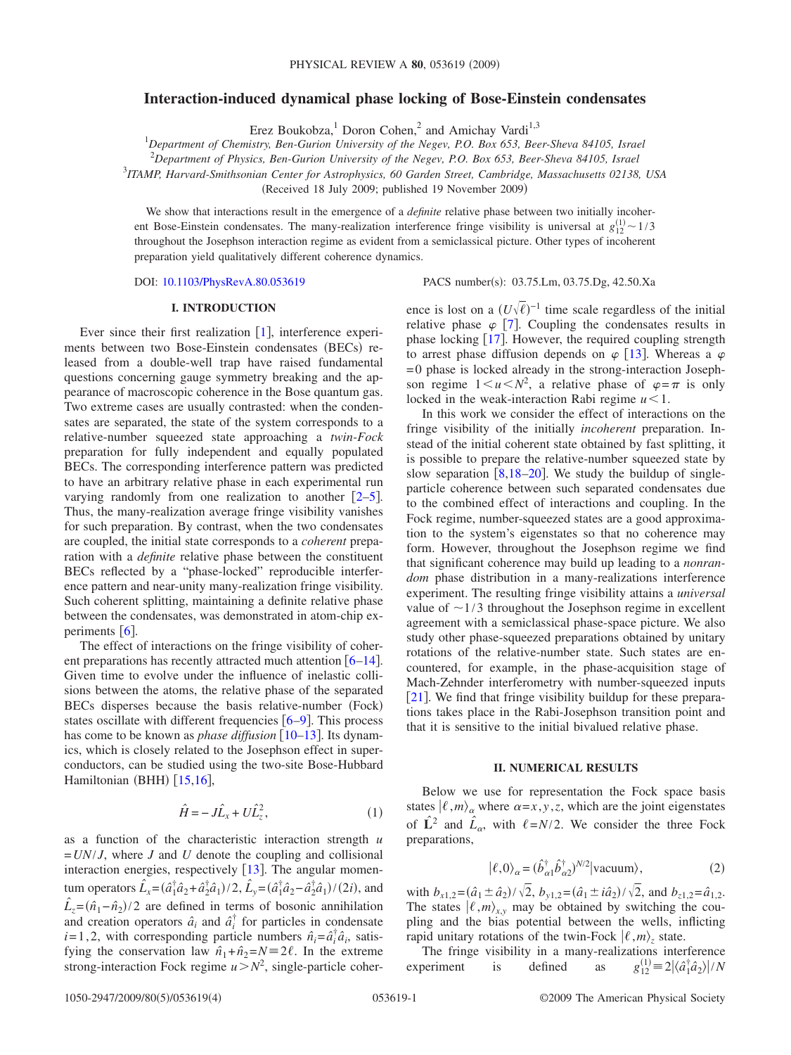# **Interaction-induced dynamical phase locking of Bose-Einstein condensates**

Erez Boukobza,<sup>1</sup> Doron Cohen,<sup>2</sup> and Amichay Vardi<sup>1,3</sup>

1 *Department of Chemistry, Ben-Gurion University of the Negev, P.O. Box 653, Beer-Sheva 84105, Israel*

2 *Department of Physics, Ben-Gurion University of the Negev, P.O. Box 653, Beer-Sheva 84105, Israel*

3 *ITAMP, Harvard-Smithsonian Center for Astrophysics, 60 Garden Street, Cambridge, Massachusetts 02138, USA*

(Received 18 July 2009; published 19 November 2009)

We show that interactions result in the emergence of a *definite* relative phase between two initially incoherent Bose-Einstein condensates. The many-realization interference fringe visibility is universal at  $g_{12}^{(1)} \sim 1/3$ throughout the Josephson interaction regime as evident from a semiclassical picture. Other types of incoherent preparation yield qualitatively different coherence dynamics.

DOI: [10.1103/PhysRevA.80.053619](http://dx.doi.org/10.1103/PhysRevA.80.053619)

PACS number(s): 03.75.Lm, 03.75.Dg, 42.50.Xa

## **I. INTRODUCTION**

Ever since their first realization  $[1]$  $[1]$  $[1]$ , interference experiments between two Bose-Einstein condensates (BECs) released from a double-well trap have raised fundamental questions concerning gauge symmetry breaking and the appearance of macroscopic coherence in the Bose quantum gas. Two extreme cases are usually contrasted: when the condensates are separated, the state of the system corresponds to a relative-number squeezed state approaching a *twin-Fock* preparation for fully independent and equally populated BECs. The corresponding interference pattern was predicted to have an arbitrary relative phase in each experimental run varying randomly from one realization to another  $[2-5]$  $[2-5]$  $[2-5]$ . Thus, the many-realization average fringe visibility vanishes for such preparation. By contrast, when the two condensates are coupled, the initial state corresponds to a *coherent* preparation with a *definite* relative phase between the constituent BECs reflected by a "phase-locked" reproducible interference pattern and near-unity many-realization fringe visibility. Such coherent splitting, maintaining a definite relative phase between the condensates, was demonstrated in atom-chip experiments  $\lceil 6 \rceil$  $\lceil 6 \rceil$  $\lceil 6 \rceil$ .

The effect of interactions on the fringe visibility of coherent preparations has recently attracted much attention  $\lceil 6-14 \rceil$  $\lceil 6-14 \rceil$  $\lceil 6-14 \rceil$ . Given time to evolve under the influence of inelastic collisions between the atoms, the relative phase of the separated BECs disperses because the basis relative-number (Fock) states oscillate with different frequencies  $[6-9]$  $[6-9]$  $[6-9]$ . This process has come to be known as *phase diffusion* [[10–](#page-3-6)[13](#page-3-7)]. Its dynamics, which is closely related to the Josephson effect in superconductors, can be studied using the two-site Bose-Hubbard Hamiltonian (BHH) [[15,](#page-3-8)[16](#page-3-9)],

$$
\hat{H} = -J\hat{L}_x + U\hat{L}_z^2,\tag{1}
$$

<span id="page-0-1"></span>as a function of the characteristic interaction strength *u* =*UN*/*J*, where *J* and *U* denote the coupling and collisional interaction energies, respectively  $[13]$  $[13]$  $[13]$ . The angular momen- $\tan \frac{\hat{L}_x = (\hat{a}_1^{\dagger} \hat{a}_2 + \hat{a}_2^{\dagger} \hat{a}_1)/2$ ,  $\hat{L}_y = (\hat{a}_1^{\dagger} \hat{a}_2 - \hat{a}_2^{\dagger} \hat{a}_1)/2i$ , and  $\hat{L}_z = (\hat{n}_1 - \hat{n}_2)/2$  are defined in terms of bosonic annihilation and creation operators  $\hat{a}_i$  and  $\hat{a}_i^{\dagger}$  for particles in condensate *i*=1,2, with corresponding particle numbers  $\hat{n}_i = \hat{a}_i^{\dagger} \hat{a}_i$ , satisfying the conservation law  $\hat{n}_1 + \hat{n}_2 = N = 2\ell$ . In the extreme strong-interaction Fock regime  $u > N^2$ , single-particle coher-

ence is lost on a  $(U\sqrt{\ell})^{-1}$  time scale regardless of the initial relative phase  $\varphi$  [[7](#page-3-10)]. Coupling the condensates results in phase locking  $[17]$  $[17]$  $[17]$ . However, the required coupling strength to arrest phase diffusion depends on  $\varphi$  [[13](#page-3-7)]. Whereas a  $\varphi$  $= 0$  phase is locked already in the strong-interaction Josephson regime  $1 \le u \le N^2$ , a relative phase of  $\varphi = \pi$  is only locked in the weak-interaction Rabi regime  $u < 1$ .

In this work we consider the effect of interactions on the fringe visibility of the initially *incoherent* preparation. Instead of the initial coherent state obtained by fast splitting, it is possible to prepare the relative-number squeezed state by slow separation  $\left[8,18-20\right]$  $\left[8,18-20\right]$  $\left[8,18-20\right]$  $\left[8,18-20\right]$ . We study the buildup of singleparticle coherence between such separated condensates due to the combined effect of interactions and coupling. In the Fock regime, number-squeezed states are a good approximation to the system's eigenstates so that no coherence may form. However, throughout the Josephson regime we find that significant coherence may build up leading to a *nonrandom* phase distribution in a many-realizations interference experiment. The resulting fringe visibility attains a *universal* value of  $\sim$ 1/3 throughout the Josephson regime in excellent agreement with a semiclassical phase-space picture. We also study other phase-squeezed preparations obtained by unitary rotations of the relative-number state. Such states are encountered, for example, in the phase-acquisition stage of Mach-Zehnder interferometry with number-squeezed inputs [[21](#page-3-15)]. We find that fringe visibility buildup for these preparations takes place in the Rabi-Josephson transition point and that it is sensitive to the initial bivalued relative phase.

#### **II. NUMERICAL RESULTS**

Below we use for representation the Fock space basis states  $| \ell, m \rangle_{\alpha}$  where  $\alpha = x, y, z$ , which are the joint eigenstates of  $\hat{\mathbf{L}}^2$  and  $\hat{L}_{\alpha}$ , with  $\ell = N/2$ . We consider the three Fock preparations,

$$
|\ell,0\rangle_{\alpha} = (\hat{b}_{\alpha1}^{\dagger} \hat{b}_{\alpha2}^{\dagger})^{N/2} |\text{vacuum}\rangle, \tag{2}
$$

<span id="page-0-0"></span>with  $b_{x1,2} = (\hat{a}_1 \pm \hat{a}_2)/\sqrt{2}$ ,  $b_{y1,2} = (\hat{a}_1 \pm i\hat{a}_2)/\sqrt{2}$ , and  $b_{z1,2} = \hat{a}_{1,2}$ . The states  $\langle \ell,m \rangle_{x,y}$  may be obtained by switching the coupling and the bias potential between the wells, inflicting rapid unitary rotations of the twin-Fock  $\langle \ell, m \rangle$ <sub>z</sub> state.

The fringe visibility in a many-realizations interference experiment is defined as  $\begin{aligned} \binom{1}{12} &\equiv 2 \left| \left\langle \hat{a}_1^\dagger \hat{a}_2 \right\rangle \right| / N \end{aligned}$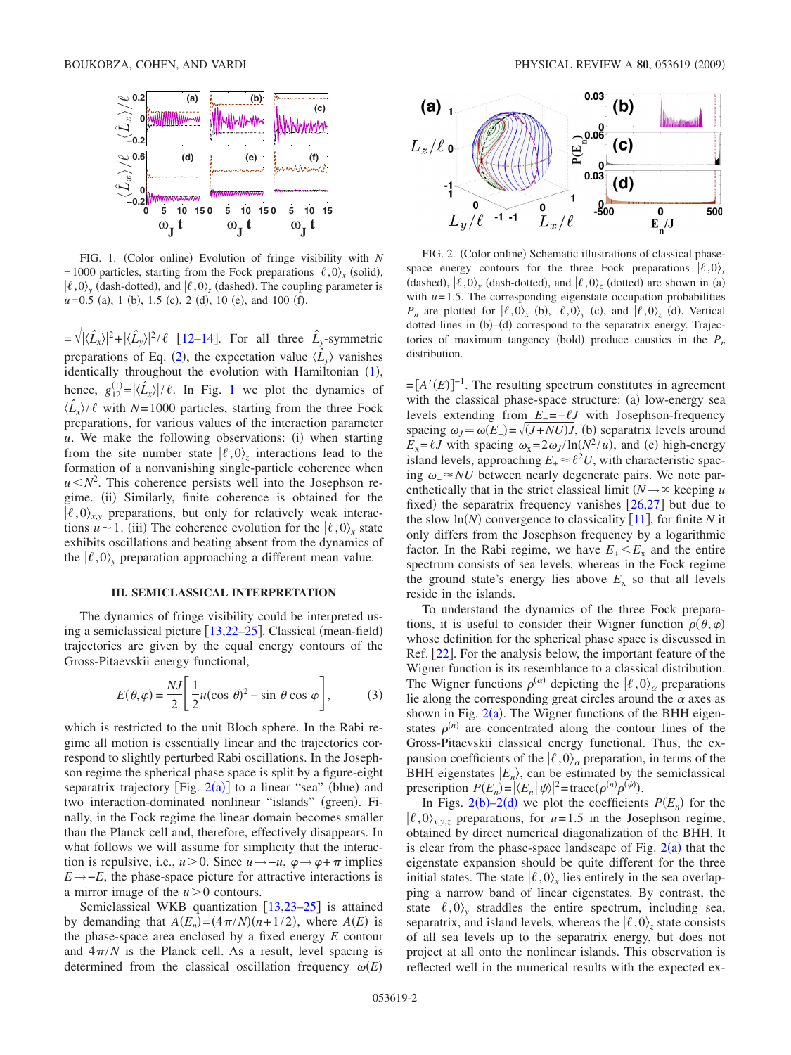<span id="page-1-0"></span>

FIG. 1. (Color online) Evolution of fringe visibility with *N*  $= 1000$  particles, starting from the Fock preparations  $\ket{\ell, 0}_x$  (solid),  $\ket{\ell,0}$ <sub>y</sub> (dash-dotted), and  $\ket{\ell,0}$ <sub>z</sub> (dashed). The coupling parameter is  $u = 0.5$  (a), 1 (b), 1.5 (c), 2 (d), 10 (e), and 100 (f).

 $=\sqrt{|\langle \hat{L}_x \rangle|^2 + |\langle \hat{L}_y \rangle|^2}/\ell$  [[12–](#page-3-16)[14](#page-3-4)]. For all three  $\hat{L}_y$ -symmetric preparations of Eq. ([2](#page-0-0)), the expectation value  $\langle \hat{L}_y \rangle$  vanishes identically throughout the evolution with Hamiltonian ([1](#page-0-1)), hence,  $g_{12}^{(1)} = |\langle \hat{L}_x \rangle| / \ell$  $g_{12}^{(1)} = |\langle \hat{L}_x \rangle| / \ell$  $g_{12}^{(1)} = |\langle \hat{L}_x \rangle| / \ell$ . In Fig. 1 we plot the dynamics of  $\langle \hat{L}_x \rangle / \ell$  with *N*=1000 particles, starting from the three Fock preparations, for various values of the interaction parameter u. We make the following observations: (i) when starting from the site number state  $| \ell, 0 \rangle$ <sub>z</sub> interactions lead to the formation of a nonvanishing single-particle coherence when  $u < N^2$ . This coherence persists well into the Josephson regime. (ii) Similarly, finite coherence is obtained for the  $\langle \ell, 0 \rangle_{x,y}$  preparations, but only for relatively weak interactions  $u \sim 1$ . (iii) The coherence evolution for the  $| \ell, 0 \rangle_x$  state exhibits oscillations and beating absent from the dynamics of the  $| \ell, 0 \rangle$ , preparation approaching a different mean value.

### **III. SEMICLASSICAL INTERPRETATION**

The dynamics of fringe visibility could be interpreted us-ing a semiclassical picture [[13,](#page-3-7)[22](#page-3-17)[–25](#page-3-18)]. Classical (mean-field) trajectories are given by the equal energy contours of the Gross-Pitaevskii energy functional,

$$
E(\theta, \varphi) = \frac{NJ}{2} \left[ \frac{1}{2} u(\cos \theta)^2 - \sin \theta \cos \varphi \right],
$$
 (3)

<span id="page-1-2"></span>which is restricted to the unit Bloch sphere. In the Rabi regime all motion is essentially linear and the trajectories correspond to slightly perturbed Rabi oscillations. In the Josephson regime the spherical phase space is split by a figure-eight separatrix trajectory [Fig.  $2(a)$  $2(a)$ ] to a linear "sea" (blue) and two interaction-dominated nonlinear "islands" (green). Finally, in the Fock regime the linear domain becomes smaller than the Planck cell and, therefore, effectively disappears. In what follows we will assume for simplicity that the interaction is repulsive, i.e.,  $u > 0$ . Since  $u \rightarrow -u$ ,  $\varphi \rightarrow \varphi + \pi$  implies *E*→−*E*, the phase-space picture for attractive interactions is a mirror image of the  $u>0$  contours.

Semiclassical WKB quantization  $[13,23-25]$  $[13,23-25]$  $[13,23-25]$  $[13,23-25]$  $[13,23-25]$  is attained by demanding that  $A(E_n) = (4\pi/N)(n+1/2)$ , where  $A(E)$  is the phase-space area enclosed by a fixed energy *E* contour and  $4\pi/N$  is the Planck cell. As a result, level spacing is determined from the classical oscillation frequency  $\omega(E)$ 

<span id="page-1-1"></span>

FIG. 2. (Color online) Schematic illustrations of classical phasespace energy contours for the three Fock preparations  $\ell$ , 0)<sub>*x*</sub> (dashed),  $| \ell, 0 \rangle_y$  (dash-dotted), and  $| \ell, 0 \rangle_z$  (dotted) are shown in (a) with  $u = 1.5$ . The corresponding eigenstate occupation probabilities *P<sub>n</sub>* are plotted for  $(\ell, 0)$ <sub>*x*</sub> (b),  $(\ell, 0)$ <sub>*y*</sub> (c), and  $(\ell, 0)$ <sub>*z*</sub> (d). Vertical dotted lines in (b)–(d) correspond to the separatrix energy. Trajectories of maximum tangency (bold) produce caustics in the  $P_n$ distribution.

 $=[A'(E)]^{-1}$ . The resulting spectrum constitutes in agreement with the classical phase-space structure: (a) low-energy sea levels extending from *E*<sub>−</sub> =−*ℓJ* with Josephson-frequency spacing  $\omega_J \equiv \omega(E_+) = \sqrt{(J + N U)J}$ , (b) separatrix levels around  $E_x = \ell J$  with spacing  $\omega_x = 2\omega_J / \ln(N^2/u)$ , and (c) high-energy island levels, approaching  $E_+ \approx \ell^2 U$ , with characteristic spacing  $\omega_{+} \approx NU$  between nearly degenerate pairs. We note parenthetically that in the strict classical limit  $(N \rightarrow \infty$  keeping *u* fixed) the separatrix frequency vanishes  $[26,27]$  $[26,27]$  $[26,27]$  $[26,27]$  but due to the slow  $\ln(N)$  convergence to classicality [[11](#page-3-22)], for finite *N* it only differs from the Josephson frequency by a logarithmic factor. In the Rabi regime, we have  $E_{+} < E_{x}$  and the entire spectrum consists of sea levels, whereas in the Fock regime the ground state's energy lies above  $E<sub>x</sub>$  so that all levels reside in the islands.

To understand the dynamics of the three Fock preparations, it is useful to consider their Wigner function  $\rho(\theta, \varphi)$ whose definition for the spherical phase space is discussed in Ref.  $[22]$  $[22]$  $[22]$ . For the analysis below, the important feature of the Wigner function is its resemblance to a classical distribution. The Wigner functions  $\rho^{(\alpha)}$  depicting the  $|\ell,0\rangle_{\alpha}$  preparations lie along the corresponding great circles around the  $\alpha$  axes as shown in Fig.  $2(a)$  $2(a)$ . The Wigner functions of the BHH eigenstates  $\rho^{(n)}$  are concentrated along the contour lines of the Gross-Pitaevskii classical energy functional. Thus, the expansion coefficients of the  $| \ell, 0 \rangle$ <sub>a</sub> preparation, in terms of the BHH eigenstates  $|E_n\rangle$ , can be estimated by the semiclassical prescription  $P(E_n) = |\langle E_n | \psi \rangle|^2 = \text{trace}(\rho^{(n)} \rho^{(\psi)}).$ 

In Figs. [2](#page-1-1)(b)[–2](#page-1-1)(d) we plot the coefficients  $P(E_n)$  for the  $\langle \ell, 0 \rangle_{xy}$ , preparations, for  $u=1.5$  in the Josephson regime, obtained by direct numerical diagonalization of the BHH. It is clear from the phase-space landscape of Fig.  $2(a)$  $2(a)$  that the eigenstate expansion should be quite different for the three initial states. The state  $\langle \ell, 0 \rangle_x$  lies entirely in the sea overlapping a narrow band of linear eigenstates. By contrast, the state  $\langle \ell, 0 \rangle$  straddles the entire spectrum, including sea, separatrix, and island levels, whereas the  $| \ell, 0 \rangle$ <sub>z</sub> state consists of all sea levels up to the separatrix energy, but does not project at all onto the nonlinear islands. This observation is reflected well in the numerical results with the expected ex-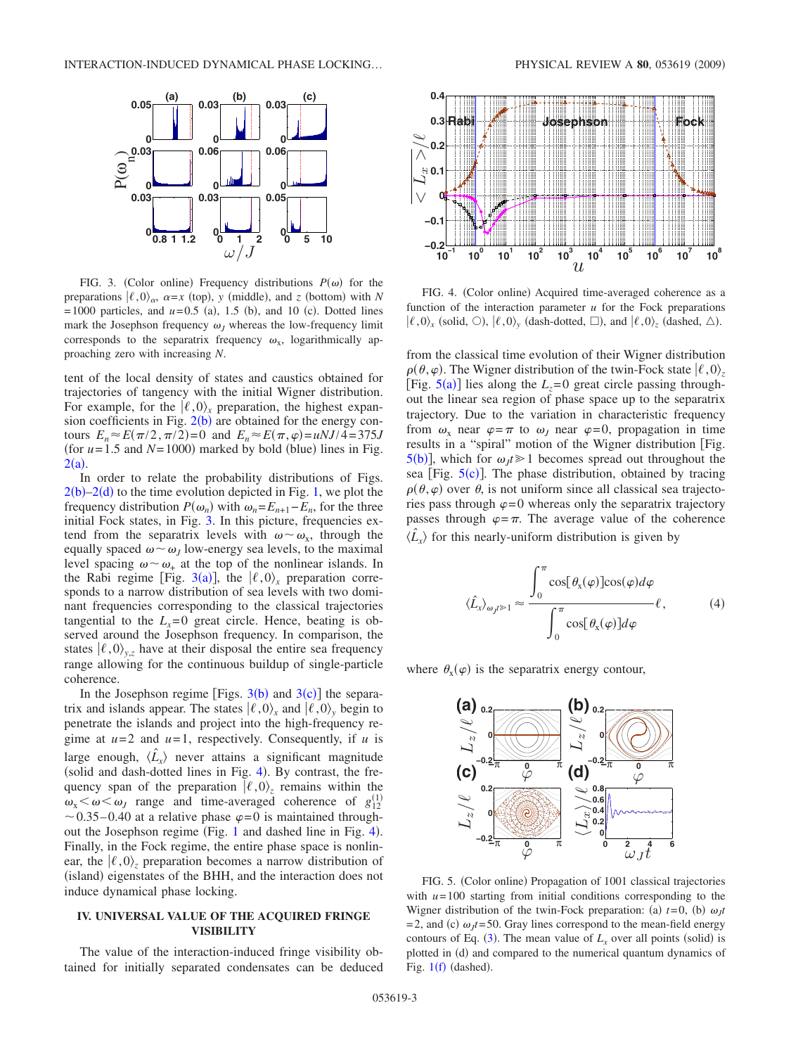<span id="page-2-0"></span>

FIG. 3. (Color online) Frequency distributions  $P(\omega)$  for the preparations  $| \ell, 0 \rangle_{\alpha}$ ,  $\alpha = x$  (top), y (middle), and *z* (bottom) with *N*  $= 1000$  particles, and  $u = 0.5$  (a), 1.5 (b), and 10 (c). Dotted lines mark the Josephson frequency  $\omega_J$  whereas the low-frequency limit corresponds to the separatrix frequency  $\omega_x$ , logarithmically approaching zero with increasing *N*.

tent of the local density of states and caustics obtained for trajectories of tangency with the initial Wigner distribution. For example, for the  $\ell$ , 0)<sub>*x*</sub> preparation, the highest expansion coefficients in Fig.  $2(b)$  $2(b)$  are obtained for the energy contours  $E_n \approx E(\pi/2, \pi/2) = 0$  and  $E_n \approx E(\pi, \varphi) = uNJ/4 = 375J$ (for  $u = 1.5$  and  $N = 1000$ ) marked by bold (blue) lines in Fig.  $2(a)$  $2(a)$ .

In order to relate the probability distributions of Figs.  $2(b)-2(d)$  $2(b)-2(d)$  to the time evolution depicted in Fig. [1,](#page-1-0) we plot the frequency distribution  $P(\omega_n)$  with  $\omega_n = E_{n+1} - E_n$ , for the three initial Fock states, in Fig. [3.](#page-2-0) In this picture, frequencies extend from the separatrix levels with  $\omega \sim \omega_{x}$ , through the equally spaced  $\omega \sim \omega_J$  low-energy sea levels, to the maximal level spacing  $\omega \sim \omega_+$  at the top of the nonlinear islands. In the Rabi regime [Fig. [3](#page-2-0)(a)], the  $\langle \ell, 0 \rangle_x$  preparation corresponds to a narrow distribution of sea levels with two dominant frequencies corresponding to the classical trajectories tangential to the  $L<sub>x</sub>=0$  great circle. Hence, beating is observed around the Josephson frequency. In comparison, the states  $\langle \ell, 0 \rangle_{v,z}$  have at their disposal the entire sea frequency range allowing for the continuous buildup of single-particle coherence.

In the Josephson regime [Figs.  $3(b)$  $3(b)$  and  $3(c)$ ] the separatrix and islands appear. The states  $\langle \ell, 0 \rangle_x$  and  $\langle \ell, 0 \rangle_y$  begin to penetrate the islands and project into the high-frequency regime at  $u=2$  and  $u=1$ , respectively. Consequently, if  $u$  is large enough,  $\langle \hat{L}_x \rangle$  never attains a significant magnitude (solid and dash-dotted lines in Fig.  $4$ ). By contrast, the frequency span of the preparation  $\langle \ell, 0 \rangle$  remains within the  $\omega_x < \omega < \omega_J$  range and time-averaged coherence of  $g_{12}^{(1)}$  $\sim$  0.35–0.40 at a relative phase  $\varphi$ =0 is maintained through-out the Josephson regime (Fig. [1](#page-1-0) and dashed line in Fig. [4](#page-2-1)). Finally, in the Fock regime, the entire phase space is nonlinear, the  $\langle \ell, 0 \rangle$  preparation becomes a narrow distribution of (island) eigenstates of the BHH, and the interaction does not induce dynamical phase locking.

# **IV. UNIVERSAL VALUE OF THE ACQUIRED FRINGE VISIBILITY**

The value of the interaction-induced fringe visibility obtained for initially separated condensates can be deduced

<span id="page-2-1"></span>

FIG. 4. (Color online) Acquired time-averaged coherence as a function of the interaction parameter  $u$  for the Fock preparations  $\ket{\ell,0}_x$  (solid,  $\odot$ ),  $\ket{\ell,0}_y$  (dash-dotted,  $\Box$ ), and  $\ket{\ell,0}_z$  (dashed,  $\triangle$ ).

from the classical time evolution of their Wigner distribution  $\rho$ ( $\theta$ , $\varphi$ ). The Wigner distribution of the twin-Fock state  $\ket{\ell,0}_z$ [Fig.  $5(a)$  $5(a)$ ] lies along the  $L_z = 0$  great circle passing throughout the linear sea region of phase space up to the separatrix trajectory. Due to the variation in characteristic frequency from  $\omega_x$  near  $\varphi = \pi$  to  $\omega_J$  near  $\varphi = 0$ , propagation in time results in a "spiral" motion of the Wigner distribution Fig.  $5(b)$  $5(b)$ , which for  $\omega_j t \geq 1$  becomes spread out throughout the sea [Fig.  $5(c)$  $5(c)$ ]. The phase distribution, obtained by tracing  $\rho(\theta, \varphi)$  over  $\theta$ , is not uniform since all classical sea trajectories pass through  $\varphi = 0$  whereas only the separatrix trajectory passes through  $\varphi = \pi$ . The average value of the coherence  $\langle \hat{L}_x \rangle$  for this nearly-uniform distribution is given by

<span id="page-2-3"></span>
$$
\langle \hat{L}_x \rangle_{\omega_J t \gg 1} \approx \frac{\int_0^{\pi} \cos[\theta_x(\varphi)] \cos(\varphi) d\varphi}{\int_0^{\pi} \cos[\theta_x(\varphi)] d\varphi} \ell, \tag{4}
$$

<span id="page-2-2"></span>where  $\theta_{x}(\varphi)$  is the separatrix energy contour,



FIG. 5. (Color online) Propagation of 1001 classical trajectories with  $u=100$  starting from initial conditions corresponding to the Wigner distribution of the twin-Fock preparation: (a)  $t=0$ , (b)  $\omega_j t$  $= 2$ , and (c)  $\omega_f t = 50$ . Gray lines correspond to the mean-field energy contours of Eq. ([3](#page-1-2)). The mean value of  $L<sub>x</sub>$  over all points (solid) is plotted in (d) and compared to the numerical quantum dynamics of Fig.  $1(f)$  $1(f)$  (dashed).